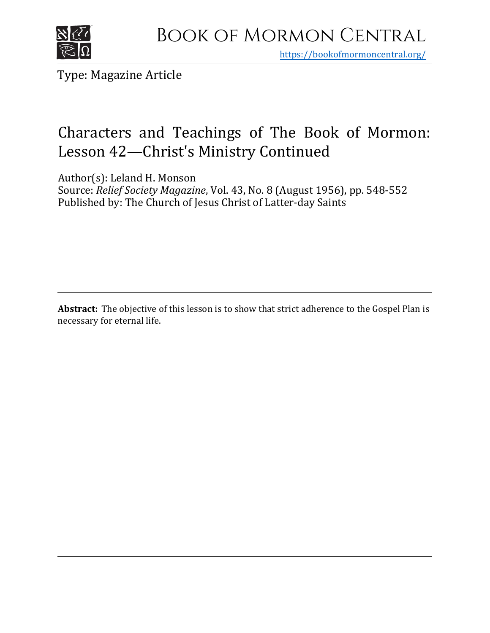

https[://bookofmormoncentral.org/](http://bookofmormoncentral.org/)

Type: Magazine Article

# Characters and Teachings of The Book of Mormon: Lesson 42—Christ's Ministry Continued

Author(s): Leland H. Monson

Source: *Relief Society Magazine*, Vol. 43, No. 8 (August 1956), pp. 548-552 Published by: The Church of Jesus Christ of Latter-day Saints

**Abstract:** The objective of this lesson is to show that strict adherence to the Gospel Plan is necessary for eternal life.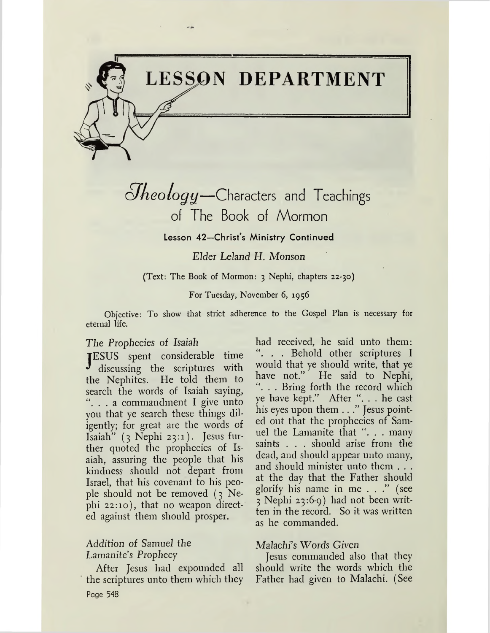

# $Jheology$ *-Characters and Teachings* of The Book of Mormon

# **Lesson 42—Christ'<sup>s</sup> Ministry Continued**

*Elder Leland H. Monson*

(Text: The Book of Mormon: <sup>3</sup> Nephi, chapters 22-30)

### For Tuesday, November 6, 1956

Objective: To show that strict adherence to the Gospel Plan is necessary for eternal life.

### *The Prophecies of Isaiah*

 $\mathbf{J}$ ESUS spent considerable time discussing the scriptures with the Nephites. He told them to search the words of Isaiah saying, ". . . a commandment I give unto you that ye search these things diligently; for great are the words of Isaiah"  $(3 \text{Nephi } 23:1)$ . Jesus further quoted the prophecies of Isaiah, assuring the people that his kindness should not depart from Israel, that his covenant to his people should not be removed (3 Nephi 22:10), that no weapon directed against them should prosper.

# Addition of Samuel *the Lamanite's Prophecy*

After Jesus had expounded all the scriptures unto them which they Page 548

had received, he said unto them: ". . . Behold other scriptures I would that ye should write, that ye have not." He said to Nephi, ". . . Bring forth the record which ye have kept." After "... he cast his eyes upon them . . ." Jesus pointed out that the prophecies of Samuel the Lamanite that ". . . many saints . . . should arise from the dead, and should appear unto many, and should minister unto them . . . at the day that the Father should glorify his name in me . . ." (see <sup>3</sup> Nephi 23:6-9) had not been written in the record. So it was written as he commanded.

### Malachi's Words Given

Jesus commanded also that they should write the words which the Father had given to Malachi. (See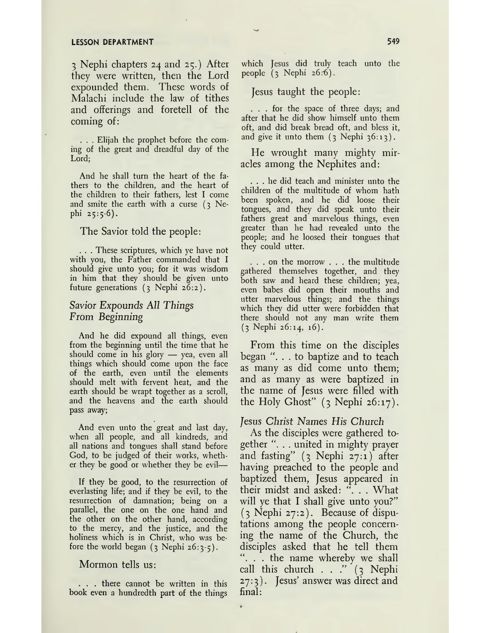#### **LESSON DEPARTMENT 549**

<sup>3</sup> Nephi chapters 24 and 25.) After they were written, then the Lord expounded them. These words of Malachi include the law of tithes and offerings and foretell of the coming of:

. . . Elijah the prophet before the coming of the great and dreadful day of the Lord;

And he shall turn the heart of the fathers to the children, and the heart of the children to their fathers, lest I come and smite the earth with a curse  $(3)$  Nephi 25:5-6).

The Savior told the people:

. . . These scriptures, which ye have not with you, the Father commanded that I should give unto you; for it was wisdom in him that they should be given unto future generations (3 Nephi 26:2).

# Savior Expounds *All Things From Beginning*

And he did expound all things, even from the beginning until the time that he should come in his glory — yea, even all things which should come upon the face of the earth, even until the elements should melt with fervent heat, and the earth should be wrapt together as a scroll, and the heavens and the earth should pass away;

And even unto the great and last day, when all people, and all kindreds, and all nations and tongues shall stand before God, to be judged of their works, whether they be good or whether they be evil—

If they be good, to the resurrection of everlasting life; and if they be evil, to the resurrection of damnation; being on a parallel, the one on the one hand and the other on the other hand, according to the mercy, and the justice, and the holiness which is in Christ, who was before the world began  $(3 \text{ Nephi } 26:3.5)$ .

Mormon tells us:

. . . there cannot be written in this book even a hundredth part of the things which Jesus did truly teach unto the people  $(3 \text{ Nephi } 26.6)$ .

Jesus taught the people:

... for the space of three days; and after that he did show himself unto them oft, and did break bread oft, and bless it, and give it unto them  $(3 \text{ Nephi } 36:13)$ .

He wrought many mighty miracles among the Nephites and:

... he did teach and minister unto the children of the multitude of whom hath been spoken, and he did loose their tongues, and they did speak unto their fathers great and marvelous things, even greater than he had revealed unto the people; and he loosed their tongues that they could utter.

... on the morrow . . . the multitude gathered themselves together, and they both saw and heard these children; yea, even babes did open their mouths and utter marvelous things; and the things which they did utter were forbidden that there should not any man write them  $(3$  Nephi 26:14, 16).

From this time on the disciples began ". . . to baptize and to teach as many as did come unto them; and as many as were baptized in the name of Jesus were filled with the Holy Ghost"  $(3 \text{ Nephi } 26:17)$ .

#### *Jesus Christ Names His Church*

As the disciples were gathered together ". . . united in mighty prayer and fasting" (3 Nephi 27:1) after having preached to the people and baptized them, Jesus appeared in their midst and asked: ". . . What will ye that I shall give unto you?" (3 Nephi 27:2). Because of disputations among the people concerning the name of the Church, the disciples asked that he tell them "... the name whereby we shall call this church . . ." (3 Nephi 27:3). Jesus' answer was direct and final: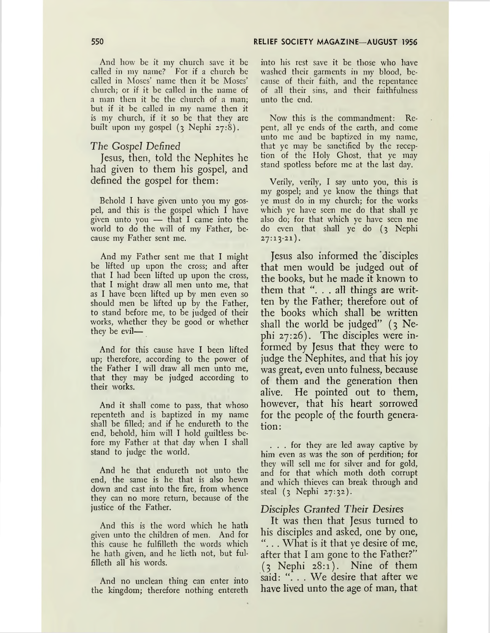And how be it my church save it be called in my name? For if a church be called in Moses' name then it be Moses' church; or if it be called in the name of a man then it be the church of a man; but if it be called in my name then it is my church, if it so be that they are built upon my gospel (3 Nephi 27:8).

#### *The Gospel Defined*

Jesus, then, told the Nephites he had given to them his gospel, and defined the gospel for them:

Behold I have given unto you my gospel, and this is the gospel which I have given unto you — that I came into the world to do the will of my Father, because my Father sent me.

And my Father sent me that I might be lifted up upon the cross; and after that I had been lifted up upon the cross, that I might draw all men unto me, that as I have been lifted up by men even so should men be lifted up by the Father, to stand before me, to be judged of their works, whether they be good or whether they be evil—

And for this cause have I been lifted up; therefore, according to the power of the Father I will draw all men unto me, that they may be judged according to their works.

And it shall come to pass, that whoso repenteth and is baptized in my name shall be filled; and if he endureth to the end, behold, him will I hold guiltless before my Father at that day when I shall stand to judge the world.

And he that endureth not unto the end, the same is he that is also hewn down and cast into the fire, from whence they can no more return, because of the justice of the Father.

And this is the word which he hath given unto the children of men. And for this cause he fulfilleth the words which he hath given, and he lieth not, but fulfilleth all his words.

And no unclean thing can enter into the kingdom; therefore nothing entereth into his rest save it be those who have washed their garments in my blood, because of their faith, and the repentance of all their sins, and their faithfulness unto the end.

Now this is the commandment: Repent, all ye ends of the earth, and come unto me and be baptized in my name, that ye may be sanctified by the reception of the Holy Ghost, that ye may stand spotless before me at the last day.

Verily, verily, I say unto you, this is my gospel; and ye know the things that ye must do in my church; for the works which ye have seen me do that shall ye also do; for that which ye have seen me do even that shall ye do (3 Nephi  $27:13-21$ .

Jesus also informed the'disciples that men would be judged out of the books, but he made it known to them that ". . . all things are written by the Father; therefore out of the books which shall be written shall the world be judged" (3 Nephi 27:26). The disciples were informed by Jesus that they were to judge the Nephites, and that his joy was great, even unto fulness, because of them and the generation then alive. He pointed out to them, however, that his heart sorrowed for the people of the fourth generation:

... for they are led away captive by him even as was the son of perdition; for they will sell me for silver and for gold, and for that which moth doth corrupt and which thieves can break through and steal (3 Nephi 27:32).

#### *Disciples Granted Their Desires*

It was then that Jesus turned to his disciples and asked, one by one, ". . . What is it that ye desire of me, after that I am gone to the Father?"  $(3$  Nephi  $28:1$ ). Nine of them said: ". . . We desire that after we have lived unto the age of man, that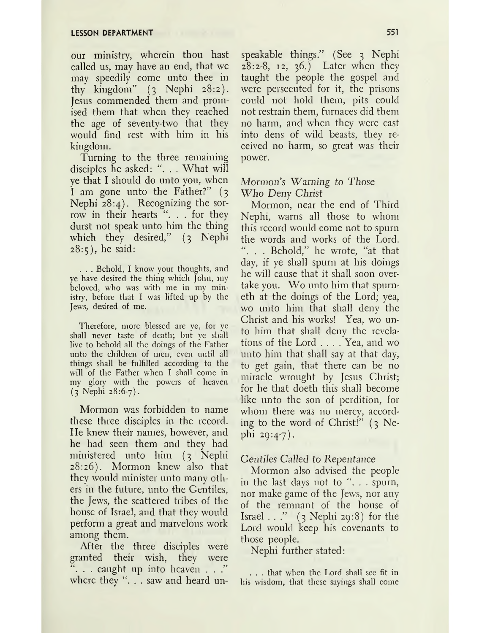our ministry, wherein thou hast called us, may have an end, that we may speedily come unto thee in thy kingdom" (3 Nephi 28:2). Jesus commended them and promised them that when they reached the age of seventy-two that they would find rest with him in his kingdom.

Turning to the three remaining disciples he asked: ". . . What will ye that I should do unto you, when I am gone unto the Father?" (3 Nephi 28:4). Recognizing the sorrow in their hearts ". . . for they durst not speak unto him the thing which they desired," (3 Nephi  $28:5$ , he said:

. . . Behold, I know your thoughts, and ye have desired the thing which John, my beloved, who was with me in my ministry, before that I was lifted up by the Jews, desired of me.

Therefore, more blessed are ye, for ye shall never taste of death; but ye shall live to behold all the doings of the Father unto the children of men, even until all things shall be fulfilled according to the will of the Father when I shall come in my glory with the powers of heaven (3 Nephi 28:6-7).

Mormon was forbidden to name these three disciples in the record. He knew their names, however, and he had seen them and they had ministered unto him (3 Nephi 28:26). Mormon knew also that they would minister unto many others in the future, unto the Gentiles, the Jews, the scattered tribes of the house of Israel, and that they would perform a great and marvelous work among them.

After the three disciples were granted their wish, they were ". . . caught up into heaven . . ." where they  $\lq\ldots$  saw and heard unspeakable things." (See 3 Nephi 28:2-8, 12, 36.) Later when they taught the people the gospel and were persecuted for it, the prisons could not hold them, pits could not restrain them, furnaces did them no harm, and when they were cast into dens of wild beasts, they received no harm, so great was their power.

# Mormon's Warning to Those Who *Deny Christ*

Mormon, near the end of Third Nephi, warns all those to whom this record would come not to spurn the words and works of the Lord. . . Behold," he wrote, "at that day, if ye shall spurn at his doings he will cause that it shall soon overtake you. Wo unto him that spurneth at the doings of the Lord; yea, wo unto him that shall deny the Christ and his works! Yea, wo unto him that shall deny the revelations of the Lord .... Yea, and wo unto him that shall say at that day, to get gain, that there can be no miracle wrought by Jesus Christ; for he that doeth this shall become like unto the son of perdition, for whom there was no mercy, according to the word of Christ!"  $(3$  Nephi 29:4-7).

# *Gentiles Called to Repentance*

Mormon also advised the people in the last days not to ". . . spurn, nor make game of the Jews, nor any of the remnant of the house of Israel  $\ldots$ " (3 Nephi 29:8) for the Lord would keep his covenants to those people.

Nephi further stated:

. . . that when the Lord shall see fit in his wisdom, that these sayings shall come